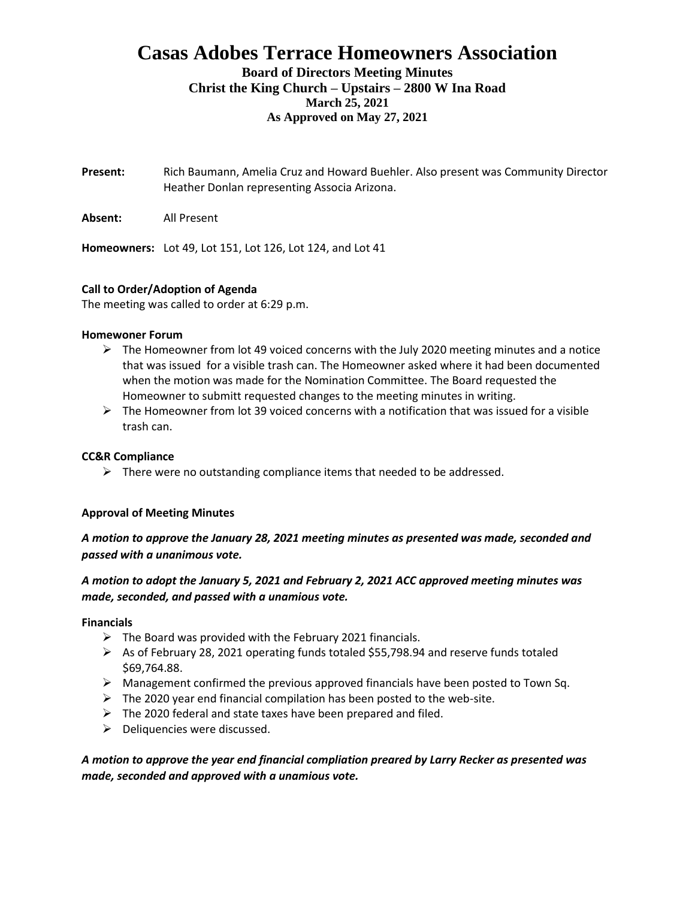# **Casas Adobes Terrace Homeowners Association Board of Directors Meeting Minutes**

## **Christ the King Church – Upstairs – 2800 W Ina Road March 25, 2021 As Approved on May 27, 2021**

- **Present:** Rich Baumann, Amelia Cruz and Howard Buehler. Also present was Community Director Heather Donlan representing Associa Arizona.
- **Absent:** All Present

**Homeowners:** Lot 49, Lot 151, Lot 126, Lot 124, and Lot 41

## **Call to Order/Adoption of Agenda**

The meeting was called to order at 6:29 p.m.

#### **Homewoner Forum**

- $\triangleright$  The Homeowner from lot 49 voiced concerns with the July 2020 meeting minutes and a notice that was issued for a visible trash can. The Homeowner asked where it had been documented when the motion was made for the Nomination Committee. The Board requested the Homeowner to submitt requested changes to the meeting minutes in writing.
- $\triangleright$  The Homeowner from lot 39 voiced concerns with a notification that was issued for a visible trash can.

## **CC&R Compliance**

 $\triangleright$  There were no outstanding compliance items that needed to be addressed.

## **Approval of Meeting Minutes**

## *A motion to approve the January 28, 2021 meeting minutes as presented was made, seconded and passed with a unanimous vote.*

## *A motion to adopt the January 5, 2021 and February 2, 2021 ACC approved meeting minutes was made, seconded, and passed with a unamious vote.*

**Financials**

- $\triangleright$  The Board was provided with the February 2021 financials.
- $\triangleright$  As of February 28, 2021 operating funds totaled \$55,798.94 and reserve funds totaled \$69,764.88.
- $\triangleright$  Management confirmed the previous approved financials have been posted to Town Sq.
- $\triangleright$  The 2020 year end financial compilation has been posted to the web-site.
- $\triangleright$  The 2020 federal and state taxes have been prepared and filed.
- $\triangleright$  Deliquencies were discussed.

## *A motion to approve the year end financial compliation preared by Larry Recker as presented was made, seconded and approved with a unamious vote.*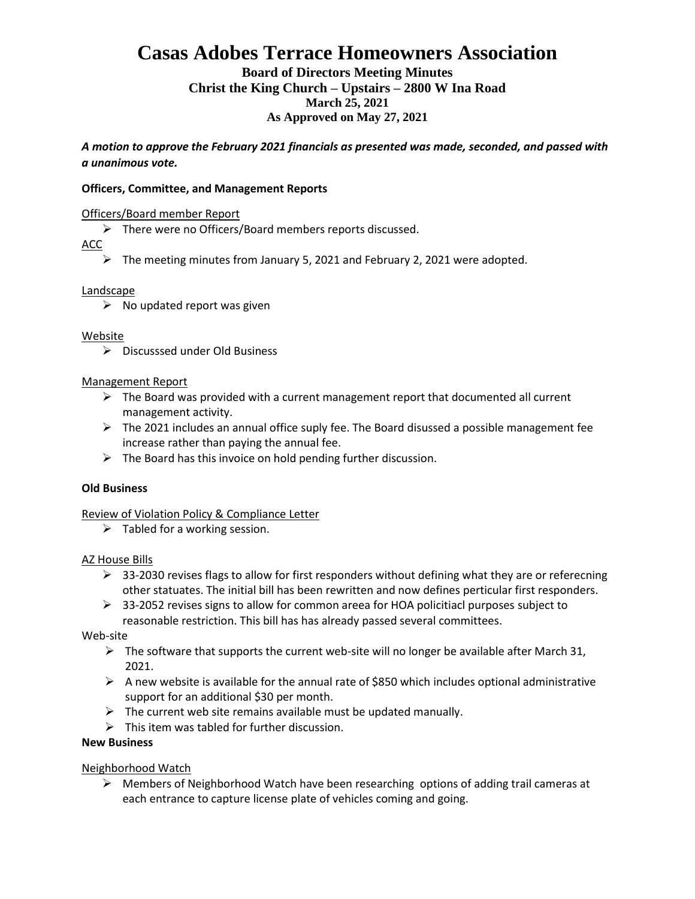# **Casas Adobes Terrace Homeowners Association**

**Board of Directors Meeting Minutes Christ the King Church – Upstairs – 2800 W Ina Road March 25, 2021 As Approved on May 27, 2021**

*A motion to approve the February 2021 financials as presented was made, seconded, and passed with a unanimous vote.* 

#### **Officers, Committee, and Management Reports**

#### Officers/Board member Report

➢ There were no Officers/Board members reports discussed.

#### ACC

 $\triangleright$  The meeting minutes from January 5, 2021 and February 2, 2021 were adopted.

#### Landscape

 $\triangleright$  No updated report was given

#### Website

➢ Discusssed under Old Business

#### Management Report

- $\triangleright$  The Board was provided with a current management report that documented all current management activity.
- $\triangleright$  The 2021 includes an annual office suply fee. The Board disussed a possible management fee increase rather than paying the annual fee.
- $\triangleright$  The Board has this invoice on hold pending further discussion.

#### **Old Business**

Review of Violation Policy & Compliance Letter

 $\triangleright$  Tabled for a working session.

#### AZ House Bills

- $\triangleright$  33-2030 revises flags to allow for first responders without defining what they are or referecning other statuates. The initial bill has been rewritten and now defines perticular first responders.
- ➢ 33-2052 revises signs to allow for common areea for HOA policitiacl purposes subject to reasonable restriction. This bill has has already passed several committees.

Web-site

- $\triangleright$  The software that supports the current web-site will no longer be available after March 31, 2021.
- $\triangleright$  A new website is available for the annual rate of \$850 which includes optional administrative support for an additional \$30 per month.
- $\triangleright$  The current web site remains available must be updated manually.
- $\triangleright$  This item was tabled for further discussion.

## **New Business**

#### Neighborhood Watch

➢ Members of Neighborhood Watch have been researching options of adding trail cameras at each entrance to capture license plate of vehicles coming and going.